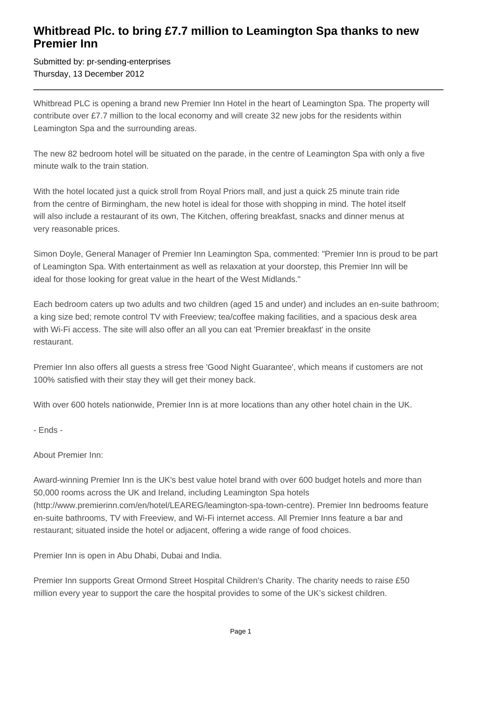## **Whitbread Plc. to bring £7.7 million to Leamington Spa thanks to new Premier Inn**

Submitted by: pr-sending-enterprises Thursday, 13 December 2012

Whitbread PLC is opening a brand new Premier Inn Hotel in the heart of Leamington Spa. The property will contribute over £7.7 million to the local economy and will create 32 new jobs for the residents within Leamington Spa and the surrounding areas.

The new 82 bedroom hotel will be situated on the parade, in the centre of Leamington Spa with only a five minute walk to the train station.

With the hotel located just a quick stroll from Royal Priors mall, and just a quick 25 minute train ride from the centre of Birmingham, the new hotel is ideal for those with shopping in mind. The hotel itself will also include a restaurant of its own, The Kitchen, offering breakfast, snacks and dinner menus at very reasonable prices.

Simon Doyle, General Manager of Premier Inn Leamington Spa, commented: "Premier Inn is proud to be part of Leamington Spa. With entertainment as well as relaxation at your doorstep, this Premier Inn will be ideal for those looking for great value in the heart of the West Midlands."

Each bedroom caters up two adults and two children (aged 15 and under) and includes an en-suite bathroom; a king size bed; remote control TV with Freeview; tea/coffee making facilities, and a spacious desk area with Wi-Fi access. The site will also offer an all you can eat 'Premier breakfast' in the onsite restaurant.

Premier Inn also offers all guests a stress free 'Good Night Guarantee', which means if customers are not 100% satisfied with their stay they will get their money back.

With over 600 hotels nationwide, Premier Inn is at more locations than any other hotel chain in the UK.

- Ends -

About Premier Inn:

Award-winning Premier Inn is the UK's best value hotel brand with over 600 budget hotels and more than 50,000 rooms across the UK and Ireland, including Leamington Spa hotels (http://www.premierinn.com/en/hotel/LEAREG/leamington-spa-town-centre). Premier Inn bedrooms feature en-suite bathrooms, TV with Freeview, and Wi-Fi internet access. All Premier Inns feature a bar and restaurant; situated inside the hotel or adjacent, offering a wide range of food choices.

Premier Inn is open in Abu Dhabi, Dubai and India.

Premier Inn supports Great Ormond Street Hospital Children's Charity. The charity needs to raise £50 million every year to support the care the hospital provides to some of the UK's sickest children.